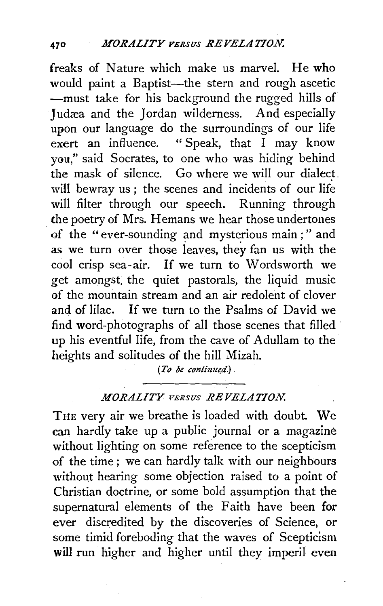freaks of Nature which make us marvel. He who would paint a Baptist-the stern and rough ascetic  $-$ must take for his background the rugged hills of Judæa and the Jordan wilderness. And especially upon our language do the surroundings of our life<br>exert an influence. "Speak, that I may know "Speak, that  $\bar{I}$  may know you," said Socrates, to one who was hiding behind the mask of silence. Go where we will our dialect. will bewray us ; the scenes and incidents of our life will filter through our speech. Running through the poetry of Mrs. Hemans we hear those undertones of the "ever-sounding and mysterious main ;" and as we turn over those leaves, they fan us with the cool crisp sea-air. If we turn to Wordsworth we get amongst. the quiet pastorals, the liquid music of the mountain stream and an air redolent of clover and of lilac. If we turn to the Psalms of David we find word-photographs of all those scenes that filled · up his eventful life, from the cave of Adullam to the heights and solitudes of the hill Mizah.

*(To be continued.)* 

## *MORALITY* VERsus *REVELATION.*

THE very air we breathe is loaded with doubt. We can hardly take up a public journal or a magazine without lighting on some reference to the scepticism of the time ; we can hardly talk with our neighbours without hearing some objection raised to a point of Christian doctrine, or some bold assumption that the supernatural elements of the Faith have been for ever discredited by the discoveries of Science, or some timid foreboding that the waves of Scepticism will run higher and higher until they imperil even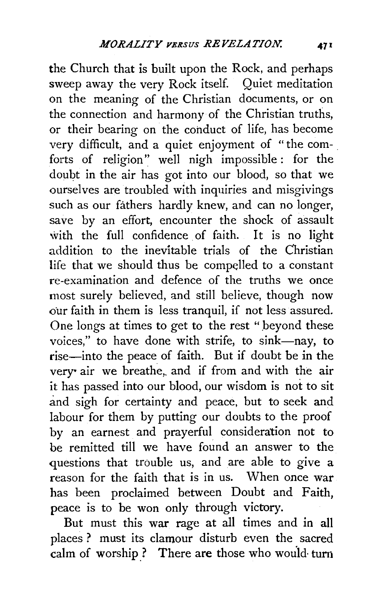the Church that is built upon the Rock, and perhaps sweep away the very Rock itself. Quiet meditation on the meaning of the Christian documents, or on the connection and harmony of the Christian truths, or their bearing on the conduct of life, has become very difficult, and a quiet enjoyment of "the comforts of religion" well nigh impossible : for the doubt in the air has got into our blood, so that we ourselves are troubled with inquiries and misgivings such as our fathers hardly knew, and can no longer. save by an effort, encounter the shock of assault with the full confidence of faith. It is no light addition to the inevitable trials of the Christian life that we should thus be compelled to a constant re-examination and defence of the truths we once most surely believed, and still believe, though now our faith in them is less tranquil, if not less assured. One longs at times to get to the rest "beyond these voices." to have done with strife, to sink-nay, to rise-into the peace of faith. But if doubt be in the very air we breathe, and if from and with the air it has passed into our blood, our wisdom is not to sit and sigh for certainty and peace, but to seek and labour for them by putting our doubts to the proof by an earnest and prayerful consideration not to be remitted till we have found an answer to the questions that trouble us, and are able to give a reason for the faith that is in us. When once war has been proclaimed between Doubt and Faith, peace is to be won only through victory.

But must this war rage at all times and in all places? must its clamour disturb even the sacred calm of worship? There are those who would turn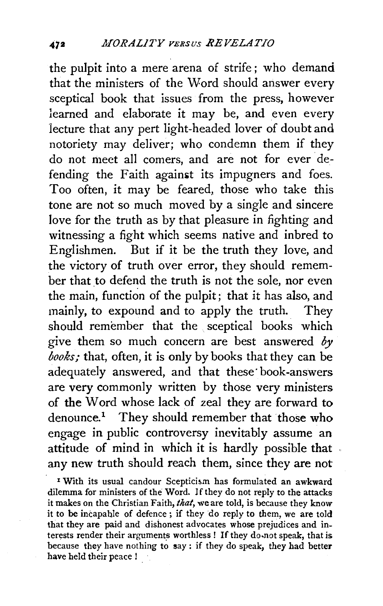the pulpit into a mere arena of strife ; who demand that the ministers of the Word should answer every sceptical book that issues from the press, however learned and elaborate it may be, and even every lecture that any pert light-headed lover of doubt and notoriety may deliver; who condemn them if they do not meet all comers, and are not for ever defending the Faith against its impugners and foes. Too often, it may be feared, those who take this tone are not so much moved by a single and sincere love for the truth as by that pleasure in fighting and witnessing a fight which seems native and inbred to Englishmen. But if it be the truth they love, and the victory of truth over error, they should remember that to defend the truth is not the sole, nor even the main, function of the pulpit; that it has also, and mainly, to expound and to apply the truth. They should remember that the sceptical books which give them so much concern are best answered *by books;* that, often, it is only by books that they can be adequately answered, and that these· book-answers are very commonly written by those very ministers of the Word whose lack of zeal they are forward to denounce.<sup>1</sup> They should remember that those who engage in public controversy inevitably assume an attitude of mind in which it is hardly possible that. any new truth should reach them, since they are not

<sup>1</sup> With its usual candour Scepticism has formulated an awkward dilemma for ministers of the Word. If they do not reply to the attacks it makes on the Christian Faith, *that,* we are told, is because they know it to be incapable of defence ; if they do reply to them, we are told that they are paid and dishonest advocates whose prejudices and interests render their arguments worthless ! If they do.not speak, that is because they have nothing to say : if they do speak, they had better have held their peace I .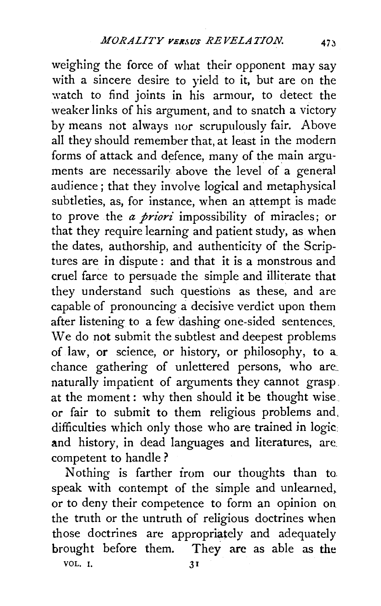weighing the force of what their opponent may say with a sincere desire to yield to it, but are on the watch to find joints in his armour, to detect the weaker links of his argument, and to snatch a victory by means not always nor scrupulously fair. Above all they should remember that, at least in the modern forms of attack and defence, many of the main arguments are necessarily above the level of a general audience ; that they involve logical and metaphysical subtleties, as, for instance, when an attempt is made to prove the *a priori* impossibility of miracles; or that they require learning and patient study, as when the dates, authorship, and authenticity of the Scriptures are in dispute: and that it is a monstrous and cruel farce to persuade the simple and illiterate that they understand such questions as these, and are capable of pronouncing a decisive verdict upon them after listening to a few dashing one-sided sentences. We do not submit the subtlest and deepest problems of law, or science, or history, or philosophy, to a. chance gathering of unlettered persons, who are; naturally impatient of arguments they cannot grasp. at the moment: why then should it be thought wise\_ or fair to submit to them religious problems and, difficulties which only those who are trained in logic. and history, in dead languages and literatures, are competent to handle ?

Nothing is farther irom our thoughts than to. speak with contempt of the simple and unlearned, or to deny their competence to form an opinion on the truth or the untruth of religious doctrines when those doctrines are appropriately and adequately brought before them. They arc as able as the VOL. I. 31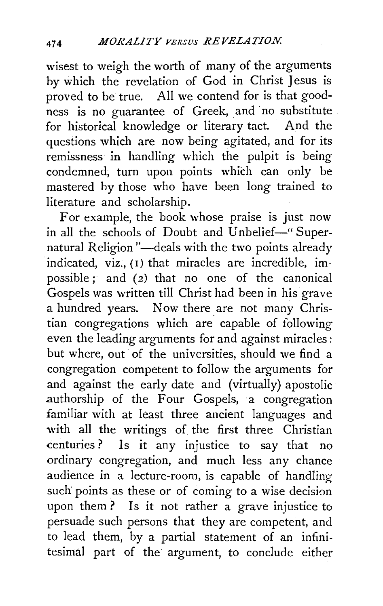wisest to weigh the worth of many of the arguments by which the revelation of God in Christ Jesus is proved to be true. All we contend for is that goodness is no guarantee of Greek, and no substitute for historical knowledge or literary tact. And the questions which are now being agitated, and for its remissness in handling which the pulpit is being condemned, turn upon points which can only be mastered by those who have been long trained to literature and scholarship.

For example, the book whose praise is just now in all the schools of Doubt and Unbelief-" Supernatural Religion "—deals with the two points already indicated, viz., (I) that miracles are incredible, impossible; and (2) that no one of the canonical Gospels was written till Christ had been in his grave a hundred years. Now there are not many Christian congregations which are capable of following even the leading arguments for and against miracles : but where, out of the universities, should we find a congregation competent to follow the arguments for and against the early date and (virtually) apostolic authorship of the Four Gospels, a congregation familiar with at least three ancient languages and with all the writings of the first three Christian centuries? Is it any injustice to say that no ordinary congregation, and much less any chance audience in a lecture-room, is capable of handling such points as these or of coming to a wise decision upon them? Is it not rather a grave injustice to persuade such persons that they are competent, and to lead them, by a partial statement of an infinitesimal part of the argument, to conclude either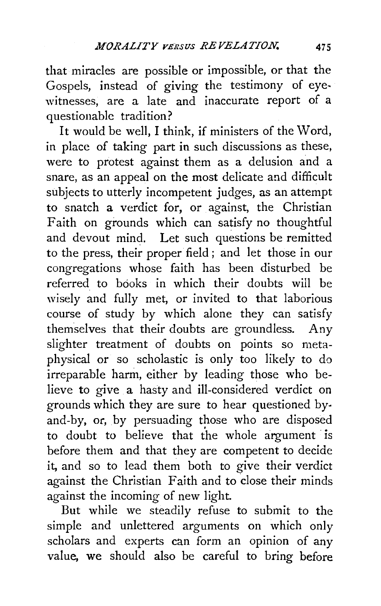that miracles are possible or impossible, or that the Gospels, instead of giving the testimony of eye. witnesses, are a late and inaccurate report of a questionable tradition?

It would be well, I think, if ministers of the Word, in place of taking part in such discussions as these, were to protest against them as a delusion and a snare, as an appeal on the most delicate and difficult subjects to utterly incompetent judges, as an attempt to snatch a verdict for, or against, the Christian Faith on grounds which can satisfy no thoughtful and devout mind. Let such questions be remitted to the press, their proper field ; and let those in our congregations whose faith has been disturbed be referred to books in which their doubts will be wisely and fully met, or invited to that laborious course of study by which alone they can satisfy themselves that their doubts are groundless. Any slighter treatment of doubts on points so metaphysical or so scholastic is only too likely to do irreparable harm, either by leading those who believe to give a hasty and ill-considered verdict on grounds which they are sure to hear questioned byand-by, or, by persuading those who are disposed to doubt to believe that the whole argument is before them and that they are competent to decide it, and so to lead them both to give their verdict against the Christian Faith and to dose their minds against the incoming of new light.

But while we steadily refuse to submit to the simple and unlettered arguments on which only scholars and experts can form an opinion of any value, we should also be careful to bring before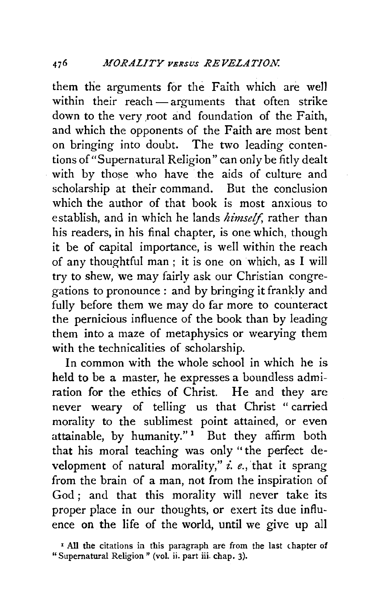them the arguments for the Faith which are well within their reach - arguments that often strike down to the very root and foundation of the Faith, and which the opponents of the Faith are most bent on bringing into doubt. The two leading contentions of"Supernatural Religion" can only be fitly dealt with by those who have the aids of culture and scholarship at their command. But the conclusion which the author of that book is most anxious to establish, and in which he lands *himself,* rather than his readers, in his final chapter, is one which, though it be of capital importance, is well within the reach of any thoughtful man ; it is one on which, as I will try to shew, we may fairly ask our Christian congregations to pronounce : and by bringing it frankly and fully before them we may do far more to counteract the pernicious influence of the book than by leading them into a maze of metaphysics or wearying them with the technicalities of scholarship.

In common with the whole school in which he is held to be a master, he expresses a boundless admiration for the ethics of Christ. He and they are never weary of telling us that Christ " carried morality to the sublimest point attained, or even attainable, by humanity." $1$  But they affirm both that his moral teaching was only "the perfect development of natural morality," *i. e.,* 'that it sprang from the brain of a man, not from the inspiration of God: and that this morality will never take its proper place in our thoughts, or exert its due influence on the life of the world, until we give up all

<sup>&</sup>lt;sup>1</sup> All the citations in this paragraph are from the last chapter of "Supernatural Religion" (vol. ii. part iii. chap. 3).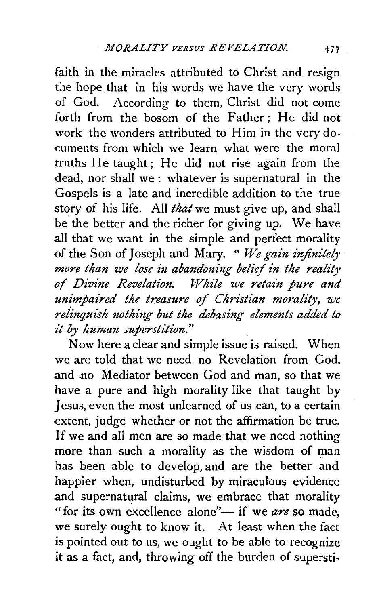faith in the miracles attributed to Christ and resign the hope. that in his words we have the very words of God. According to them, Christ did not come forth from the bosom of the Father; He did not work the wonders attributed to Him in the very documents from which we learn what were the moral truths He taught; He did not rise again from the dead, nor shall we : whatever is supernatural in the Gospels is a late and incredible addition to the true story of his life. All *that* we must give up, and shall be the better and the richer for giving up. We have all that we want in the simple and perfect morality of the Son of Joseph and Mary. " We gain infinitely  $\cdot$ *more than we lose in abandoning belief in the reality of Divine Revelation. While we 1'etain pure and unimpaired the treasure of Christian morality, we relinquish 120thing but the debasing elemmts added to it by human superstition."* .

. Now here a clear and simple issue is raised. When we are told that we need no Revelation from God, and no Mediator between God and man, so that we have a pure and high morality like that taught by Jesus, even the most unlearned of us can, to a certain extent, judge whether or not the affirmation be true. If we and all men are so made that we need nothing more than such a morality as the wisdom of man has been able to develop, and are the better and happier when, undisturbed by miraculous evidence and supernatural claims, we embrace that morality "for its own excellence alone"- if we *are* so made, we surely ought to know it. At least when the fact is pointed out to us, we ought to be able to recognize it as a fact, and, throwing off the burden of supersti-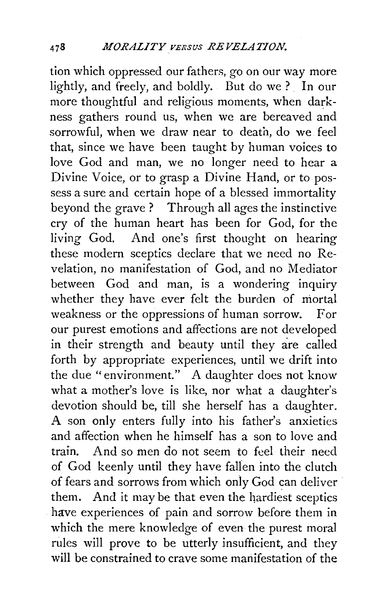tion which oppressed our fathers, go on our way more lightly, and freely, and boldly. But do we? In our more thoughtful and religious moments, when darkness gathers round us, when we are bereaved and sorrowful, when we draw near to death, do we feel that, since we have been taught by human voices to love God and man, we no longer need to hear a Divine Voice, or to grasp a Divine Hand, or to possess a sure and certain hope of a blessed immortality beyond the grave ? Through all ages the instinctive cry of the human heart has been for God, for the living God. And one's first thought on hearing these modern sceptics declare that we need no Revelation, no manifestation of God, and no Mediator between God and man, is a wondering inquiry whether they have ever felt the burden of mortal weakness or the oppressions of human sorrow. For our purest emotions and affections are not developed in their strength and beauty until they are called forth by appropriate experiences, until we drift into the due "environment." A daughter does not know what a mother's love is like, nor what a daughter's devotion should be, till she herself has a daughter. A son only enters fully into his father's anxieties and affection when he himself has a son to love and train. And so men do not seem to feel their need of God keenly until they have fallen into the clutch of fears and sorrows from which only God can deliver them. And it may be that even the hardiest sceptics have experiences of pain and sorrow before them in which the mere knowledge of even the purest moral rules will prove to be utterly insufficient, and they will be constrained to crave some manifestation of the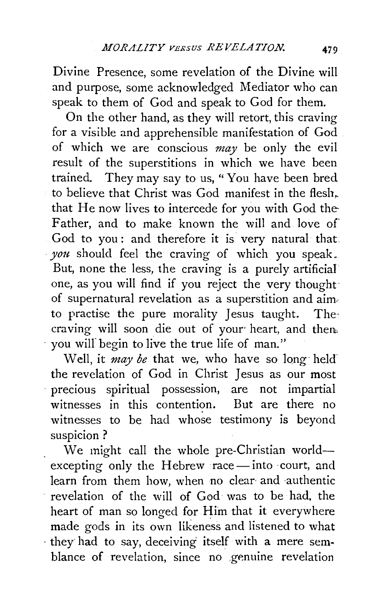Divine Presence, some revelation of the Divine will and purpose, some acknowledged Mediator who can speak to them of God and speak to God for them.

On the other hand, as they will retort, this craving for a visible and apprehensible manifestation of God of which we are conscious *may* be only the evil result of the superstitions in which we have been trained. They may say to us, " You have been bred to believe that Christ was God manifest in the flesh, that He now lives to intercede for you with God the-Father, and to make known the will and love of God to you : and therefore it is very natural that: *you* should feel the craving of which you speak. But, none the less, the craving is a purely artificial one, as you will find if you reject the very thought: of supernatural revelation as a superstition and aim· to practise the pure morality Jesus taught. The· craving will soon die out of your heart, and then you will begin to live the true life of man."

Well, it *may be* that we, who have so long· held' the revelation of God in Christ Jesus as our most precious spiritual possession, are not impartial witnesses in this contention. But are there no witnesses to be had whose testimony is beyond suspicion?

We might call the whole pre-Christian worldexcepting only the Hebrew race-into court, and learn from them how, when no clear and authentic revelation of the will of God was to be had, the heart of man so longed for Him that it everywhere made gods in its own likeness and listened to what · they· had to say, deceiving itself with a mere semblance of revelation, since no genuine revelation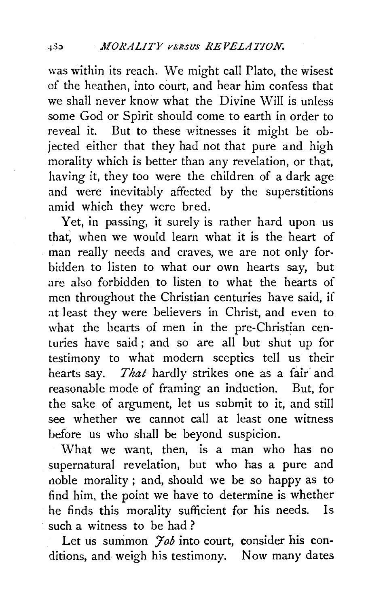was within its reach. We might call Plato, the wisest of the heathen, into court, and hear him confess that we shall never know what the Divine Will is unless some God or Spirit should come to earth in order to reveal it. But to these witnesses it might be objected either that they had not that pure and high morality which is better than any revelation, or that, having it, they too were the children of a dark age and were inevitably affected by the superstitions amid which they were bred.

Yet, in passing, it surely is rather hard upon us that; when we would learn what it is the heart of man really needs and craves, we are not only forbidden to listen to what our own hearts say, but are also forbidden to listen to what the hearts of men throughout the Christian centuries have said, if at least they were believers in Christ, and even to what the hearts of men in the pre-Christian centuries have said ; and so are all but shut up for testimony to what modern sceptics tell us their hearts say. *That* hardly strikes one as a fair and reasonable mode of framing an induction. But, for the sake of argument, let us submit to it, and still see whether we cannot call at least one witness before us who shall be beyond suspicion.

What we want, then, is a man who has no supernatural revelation, but who has a pure and noble morality; and, should we be so happy as to find him, the point we have to determine is whether he finds this morality sufficient for his needs. Is such a witness to be had?

Let us summon *Job* into court, consider his conditions, and weigh his testimony. Now many dates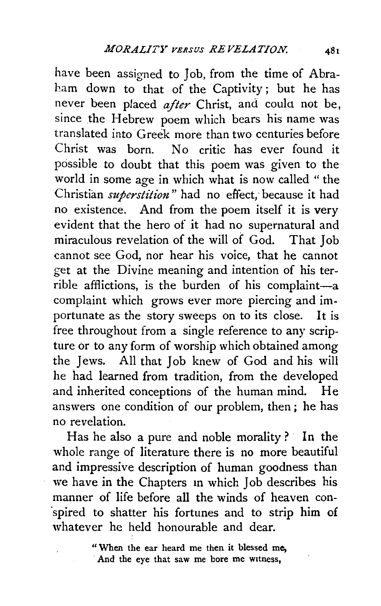have been assigned to Job, from the time of Abraham down to that of the Captivity; but he has never been placed after Christ, and could not be, since the Hebrew poem which bears his name was translated into Greek more than two centuries before Christ was born. No critic has ever found it possible to doubt that this poem was given to the world in some age in which what is now called " the Christian *superstition*" had no effect, because it had no existence. And from the poem itself it is very evident that the hero of it had no supernatural and miraculous revelation of the will of God. That Job cannot see God, nor hear his voice, that he cannot get at the Divine meaning and intention of his terrible afflictions, is the burden of his complaint-a complaint which grows ever more piercing and importunate as the story sweeps on to its close. It is free throughout from a single reference to any scripture or to any form of worship which obtained among the Jews. All that Job knew of God and his will he had learned from tradition, from the developed and inherited conceptions of the human mind. He answers one condition of our problem, then ; he has no revelation.

Has he also a pure and noble morality? In the whole range of literature there is no more beautiful and impressive description of human goodness than we have in the Chapters m which Job describes his manner of life before all the winds of heaven con- ·spired to shatter his fortunes and to strip him of whatever he held honourable and dear.

> " When the ear heard me then it blessed me, And the eye that saw me bore me wttness,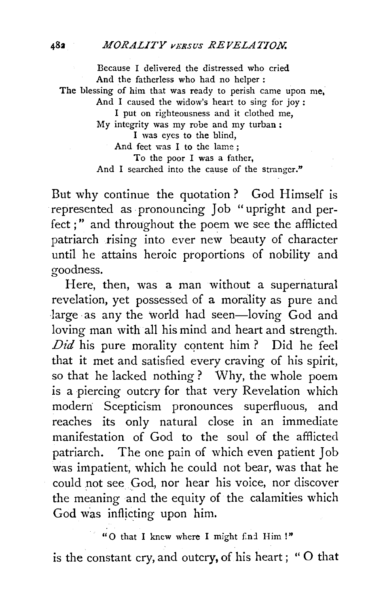## <sup>482</sup>*MORALITY* VERsus *REVELATION.*

Because I delivered the distressed who cried And the fatherless who had no helper : The blessing of him that was ready to perish came upon me, And I caused the widow's heart to sing for joy : I put on righteousness and it clothed me, My integrity was my robe and my turban : I was eyes to the blind, And feet was I to the lame ; To the poor I was a father, And I searched into the cause of the stranger."

But why continue the quotation? God Himself is represented as pronouncing Job "upright and perfect ; " and throughout the poem we see the afflicted patriarch rising into ever new beauty of character until he attains heroic proportions of nobility and goodness.

Here, then, was a man without a supernatural revelation, yet possessed of a morality as pure and large as any the world had seen-loving God and loving man with all his mind and heart and strength.  $Did$  his pure morality content him ? Did he feel that it met and satisfied every craving of his spirit, so that he lacked nothing ? Why, the whole poem is a piercing outcry for that very Revelation which moderri Scepticism pronounces superfluous, and reaches its only natural close in an immediate manifestation of God to the soul of the afflicted patriarch. The one pain of which even patient Job was impatient, which he could not bear, was that he could not see God, nor hear his voice, nor discover the meaning and the equity of the calamities which God was inflicting upon him.

"O that I knew where I might find Him !"

is the constant cry, and outcry, of his heart; "O that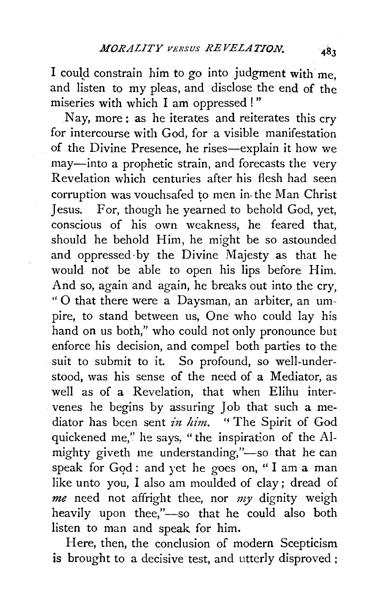I could constrain him to go into judgment with me, and listen to my pleas, and disclose the end of the miseries with which I am oppressed!"

Nay, more: as he iterates and reiterates this cry for intercourse with God, for a visible manifestation of the Divine Presence, he rises-explain it how we may-into a prophetic strain, and forecasts the very Revelation which centuries after his flesh had seen corruption was vouchsafed to men in the Man Christ Jesus. For, though he yearned to behold God, yet, conscious of his own weakness, he feared that, should he behold Him, he might be so astounded and oppressed· by the Divine Majesty as that he would not be able to open his lips before Him. And so, again and again, he breaks out into the cry, " 0 that there were a Daysman, an arbiter, an umpire, to stand between us, One who could lay his hand on us both," who could not only pronounce but enforce his decision, and compel both parties to the suit to submit to it. So profound, so well-understood, was his sense of the need of a Mediator, as well as of a Revelation, that when Elihu intervenes he begins by assuring Job that such a mediator has been sent in him. "The Spirit of God quickened me," he says, "the inspiration of the Almighty giveth me understanding,"-so that he can speak for God: and yet he goes on, "I am a man like unto you, I also am moulded of clay ; dread of *me* need not affright thee, nor *my* dignity weigh heavily upon thee,"-so that he could also both listen to man and speak for him.

Here, then, the conclusion of modern Scepticism is brought to a decisive test, and utterly disproved ;